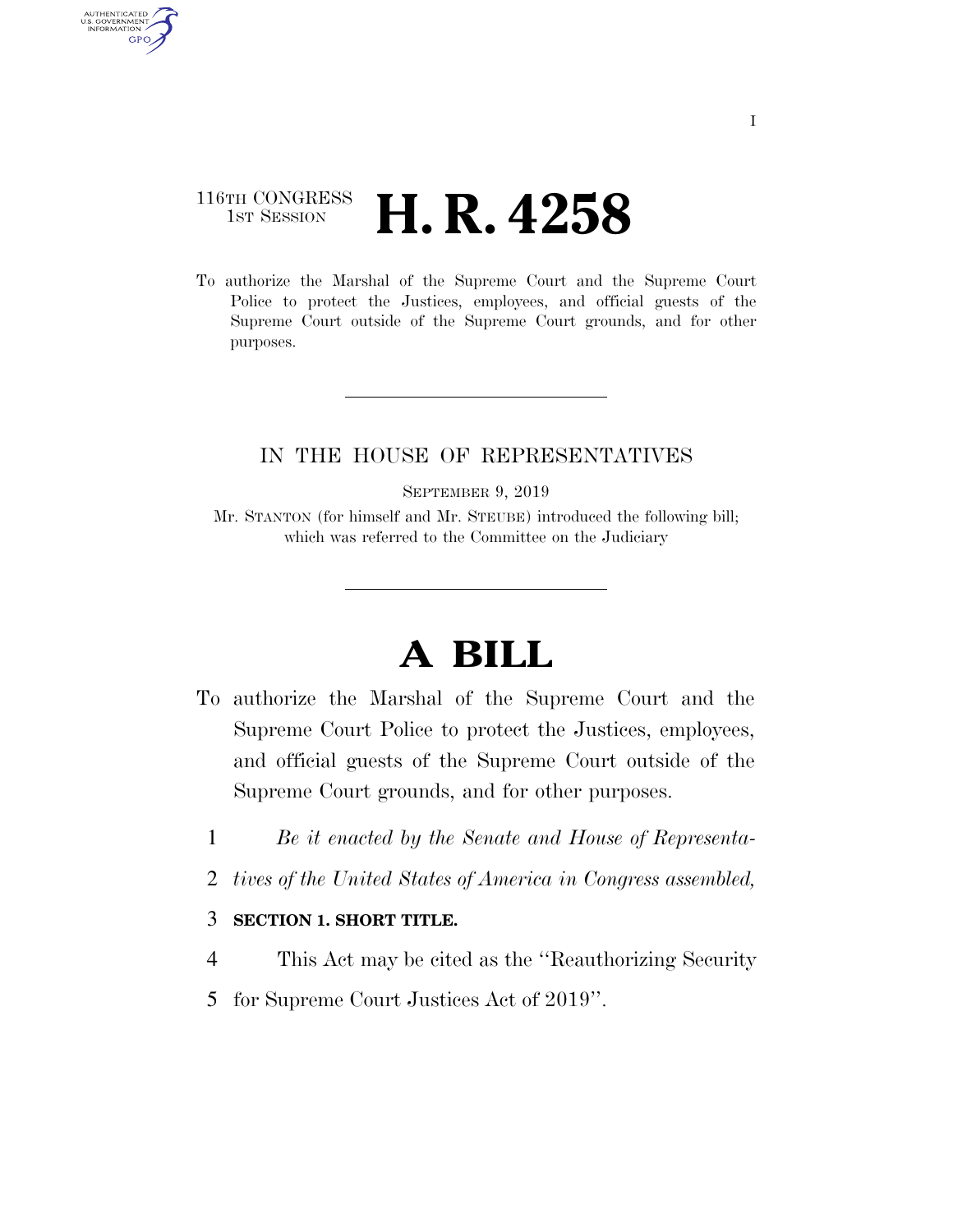## 116TH CONGRESS **HE CONGRESS H. R. 4258**

AUTHENTICATED U.S. GOVERNMENT **GPO** 

> To authorize the Marshal of the Supreme Court and the Supreme Court Police to protect the Justices, employees, and official guests of the Supreme Court outside of the Supreme Court grounds, and for other purposes.

## IN THE HOUSE OF REPRESENTATIVES

SEPTEMBER 9, 2019

Mr. STANTON (for himself and Mr. STEUBE) introduced the following bill; which was referred to the Committee on the Judiciary

## **A BILL**

- To authorize the Marshal of the Supreme Court and the Supreme Court Police to protect the Justices, employees, and official guests of the Supreme Court outside of the Supreme Court grounds, and for other purposes.
	- 1 *Be it enacted by the Senate and House of Representa-*
	- 2 *tives of the United States of America in Congress assembled,*

## 3 **SECTION 1. SHORT TITLE.**

- 4 This Act may be cited as the ''Reauthorizing Security
- 5 for Supreme Court Justices Act of 2019''.